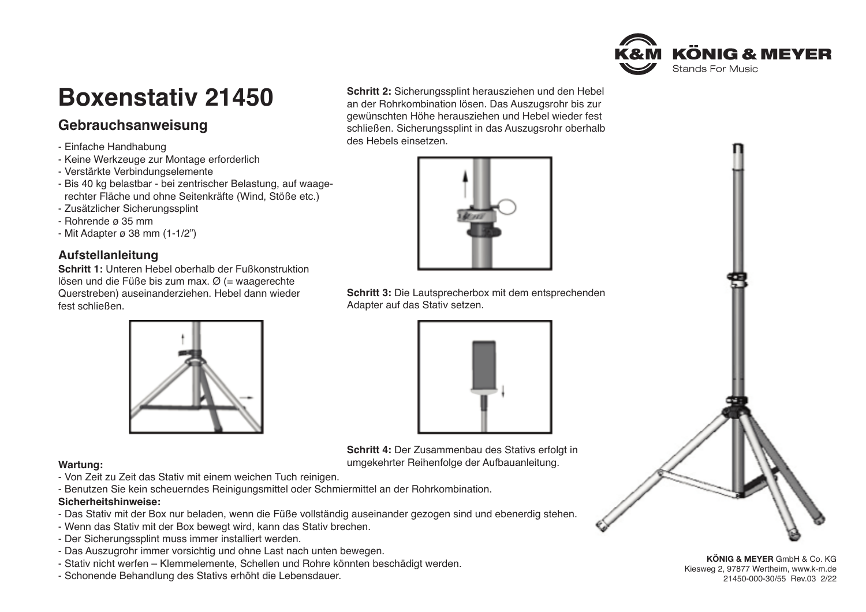

# **Boxenstativ 21450**

# **Gebrauchsanweisung**

- Einfache Handhabung
- Keine Werkzeuge zur Montage erforderlich
- Verstärkte Verbindungselemente
- Bis 40 kg belastbar bei zentrischer Belastung, auf waage rechter Fläche und ohne Seitenkräfte (Wind, Stöße etc.)
- Zusätzlicher Sicherungssplint
- Rohrende ø 35 mm
- Mit Adapter ø 38 mm (1-1/2")

### **Aufstellanleitung**

**Schritt 1:** Unteren Hebel oberhalb der Fußkonstruktion lösen und die Füße bis zum max.  $\varnothing$  (= waagerechte Querstreben) auseinanderziehen. Hebel dann wieder fest schließen.



- Von Zeit zu Zeit das Stativ mit einem weichen Tuch reinigen.
- Benutzen Sie kein scheuerndes Reinigungsmittel oder Schmiermittel an der Rohrkombination.

### **Sicherheitshinweise:**

- Das Stativ mit der Box nur beladen, wenn die Füße vollständig auseinander gezogen sind und ebenerdig stehen.
- Wenn das Stativ mit der Box bewegt wird, kann das Stativ brechen.
- Der Sicherungssplint muss immer installiert werden.
- Das Auszugrohr immer vorsichtig und ohne Last nach unten bewegen.
- Stativ nicht werfen Klemmelemente, Schellen und Rohre könnten beschädigt werden.
- Schonende Behandlung des Stativs erhöht die Lebensdauer.

**Schritt 2:** Sicherungssplint herausziehen und den Hebel an der Rohrkombination lösen. Das Auszugsrohr bis zur gewünschten Höhe herausziehen und Hebel wieder fest schließen. Sicherungssplint in das Auszugsrohr oberhalb des Hebels einsetzen.



**Schritt 3:** Die Lautsprecherbox mit dem entsprechenden Adapter auf das Stativ setzen.



**Schritt 4:** Der Zusammenbau des Stativs erfolgt in **Wartung:** umgekehrter Reihenfolge der Aufbauanleitung.



**KÖNIG & MEYER** GmbH & Co. KG Kiesweg 2, 97877 Wertheim, www.k-m.de 21450-000-30/55 Rev.03 2/22